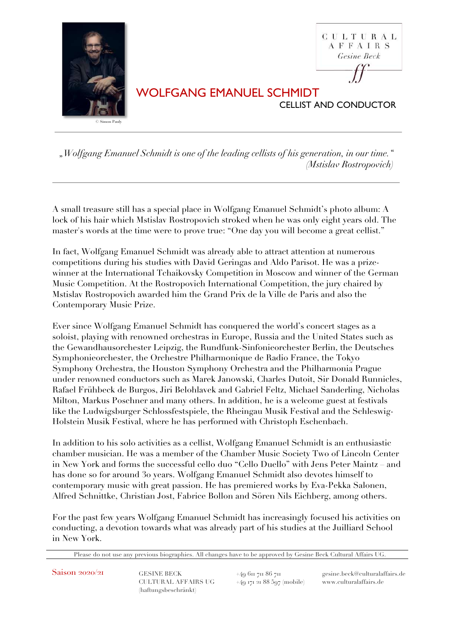

*"Wolfgang Emanuel Schmidt is one of the leading cellists of his generation, in our time." (Mstislav Rostropovich)*

A small treasure still has a special place in Wolfgang Emanuel Schmidt's photo album: A lock of his hair which Mstislav Rostropovich stroked when he was only eight years old. The master's words at the time were to prove true: "One day you will become a great cellist."

In fact, Wolfgang Emanuel Schmidt was already able to attract attention at numerous competitions during his studies with David Geringas and Aldo Parisot. He was a prizewinner at the International Tchaikovsky Competition in Moscow and winner of the German Music Competition. At the Rostropovich International Competition, the jury chaired by Mstislav Rostropovich awarded him the Grand Prix de la Ville de Paris and also the Contemporary Music Prize.

Ever since Wolfgang Emanuel Schmidt has conquered the world's concert stages as a soloist, playing with renowned orchestras in Europe, Russia and the United States such as the Gewandhausorchester Leipzig, the Rundfunk-Sinfonieorchester Berlin, the Deutsches Symphonieorchester, the Orchestre Philharmonique de Radio France, the Tokyo Symphony Orchestra, the Houston Symphony Orchestra and the Philharmonia Prague under renowned conductors such as Marek Janowski, Charles Dutoit, Sir Donald Runnicles, Rafael Frühbeck de Burgos, Jiri Belohlavek and Gabriel Feltz, Michael Sanderling, Nicholas Milton, Markus Poschner and many others. In addition, he is a welcome guest at festivals like the Ludwigsburger Schlossfestspiele, the Rheingau Musik Festival and the Schleswig-Holstein Musik Festival, where he has performed with Christoph Eschenbach.

In addition to his solo activities as a cellist, Wolfgang Emanuel Schmidt is an enthusiastic chamber musician. He was a member of the Chamber Music Society Two of Lincoln Center in New York and forms the successful cello duo "Cello Duello" with Jens Peter Maintz – and has done so for around 30 years. Wolfgang Emanuel Schmidt also devotes himself to contemporary music with great passion. He has premiered works by Eva-Pekka Salonen, Alfred Schnittke, Christian Jost, Fabrice Bollon and Sören Nils Eichberg, among others.

For the past few years Wolfgang Emanuel Schmidt has increasingly focused his activities on conducting, a devotion towards what was already part of his studies at the Juilliard School in New York.

Please do not use any previous biographies. All changes have to be approved by Gesine Beck Cultural Affairs UG.

CULTURAL AFFAIRS UG  $+49$  171 21 88 597 (mobile) www.culturalaffairs.de (haftungsbeschränkt)

Saison 2020/21 GESINE BECK +49 611 711 86 711 gesine.beck@culturalaffairs.de